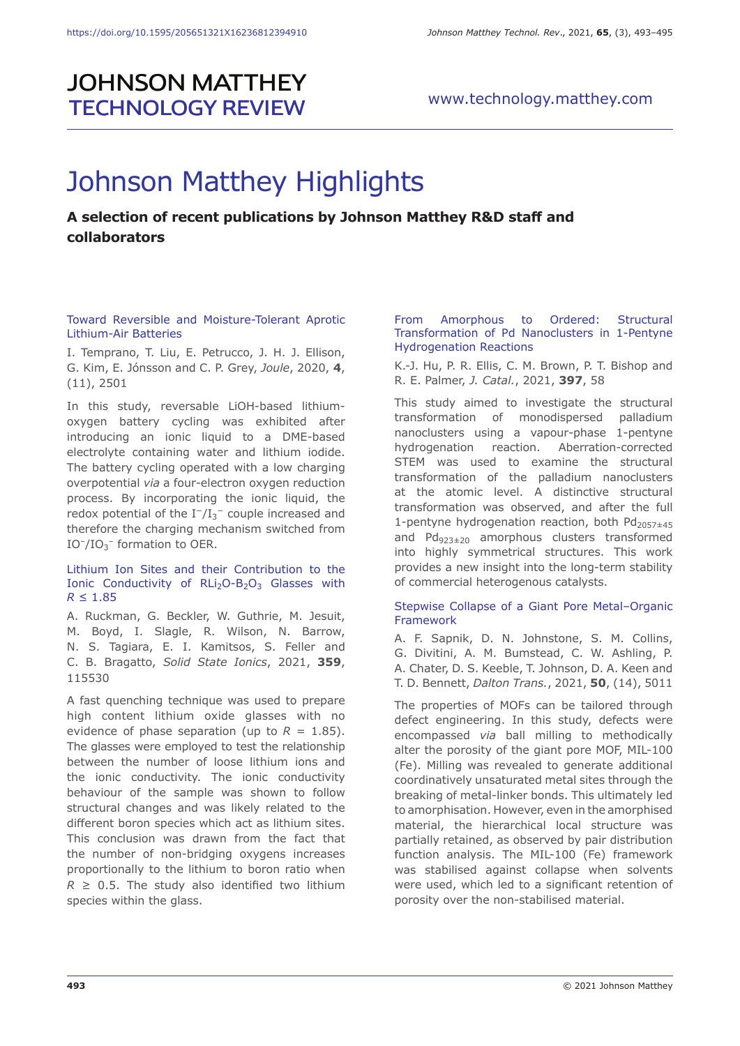## **JOHNSON MATTHEY TECHNOLOGY REVIEW**

# Johnson Matthey Highlights

### **A selection of recent publications by Johnson Matthey R&D staff and collaborators**

#### Toward Reversible and Moisture-Tolerant Aprotic Lithium-Air Batteries

I. Temprano, T. Liu, E. Petrucco, J. H. J. Ellison, G. Kim, E. Jónsson and C. P. Grey, *Joule*, 2020, **4**, (11), 2501

In this study, reversable LiOH-based lithiumoxygen battery cycling was exhibited after introducing an ionic liquid to a DME-based electrolyte containing water and lithium iodide. The battery cycling operated with a low charging overpotential *via* a four-electron oxygen reduction process. By incorporating the ionic liquid, the redox potential of the  $I^-/{I_3}^-$  couple increased and therefore the charging mechanism switched from  $IO^-/IO_3^-$  formation to OER.

#### Lithium Ion Sites and their Contribution to the Ionic Conductivity of  $RLi<sub>2</sub>O-B<sub>2</sub>O<sub>3</sub>$  Glasses with *R* ≤ 1.85

A. Ruckman, G. Beckler, W. Guthrie, M. Jesuit, M. Boyd, I. Slagle, R. Wilson, N. Barrow, N. S. Tagiara, E. I. Kamitsos, S. Feller and C. B. Bragatto, *Solid State Ionics*, 2021, **359**, 115530

A fast quenching technique was used to prepare high content lithium oxide glasses with no evidence of phase separation (up to  $R = 1.85$ ). The glasses were employed to test the relationship between the number of loose lithium ions and the ionic conductivity. The ionic conductivity behaviour of the sample was shown to follow structural changes and was likely related to the different boron species which act as lithium sites. This conclusion was drawn from the fact that the number of non-bridging oxygens increases proportionally to the lithium to boron ratio when  $R \geq 0.5$ . The study also identified two lithium species within the glass.

#### From Amorphous to Ordered: Structural Transformation of Pd Nanoclusters in 1-Pentyne Hydrogenation Reactions

K.-J. Hu, P. R. Ellis, C. M. Brown, P. T. Bishop and R. E. Palmer, *J. Catal.*, 2021, **397**, 58

This study aimed to investigate the structural transformation of monodispersed palladium nanoclusters using a vapour-phase 1-pentyne hydrogenation reaction. Aberration-corrected STEM was used to examine the structural transformation of the palladium nanoclusters at the atomic level. A distinctive structural transformation was observed, and after the full 1-pentyne hydrogenation reaction, both  $Pd_{2057\pm45}$ and  $Pd_{923\pm20}$  amorphous clusters transformed into highly symmetrical structures. This work provides a new insight into the long-term stability of commercial heterogenous catalysts.

#### Stepwise Collapse of a Giant Pore Metal–Organic Framework

A. F. Sapnik, D. N. Johnstone, S. M. Collins, G. Divitini, A. M. Bumstead, C. W. Ashling, P. A. Chater, D. S. Keeble, T. Johnson, D. A. Keen and T. D. Bennett, *Dalton Trans.*, 2021, **50**, (14), 5011

The properties of MOFs can be tailored through defect engineering. In this study, defects were encompassed *via* ball milling to methodically alter the porosity of the giant pore MOF, MIL-100 (Fe). Milling was revealed to generate additional coordinatively unsaturated metal sites through the breaking of metal-linker bonds. This ultimately led to amorphisation. However, even in the amorphised material, the hierarchical local structure was partially retained, as observed by pair distribution function analysis. The MIL-100 (Fe) framework was stabilised against collapse when solvents were used, which led to a significant retention of porosity over the non-stabilised material.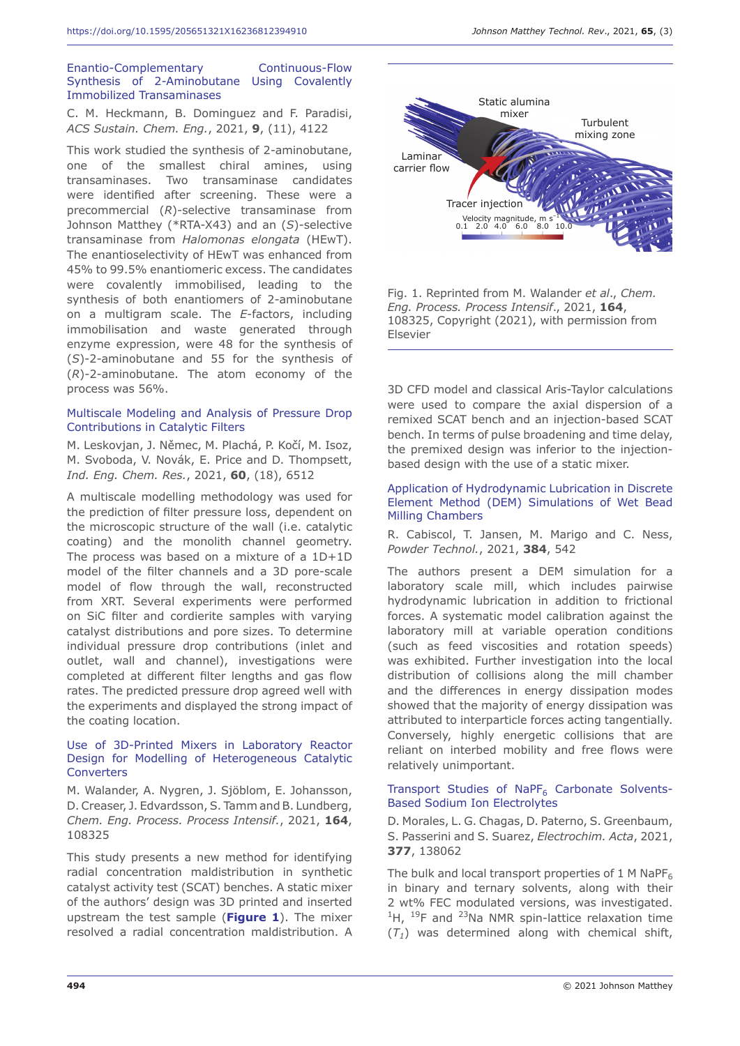#### Enantio-Complementary Continuous-Flow Synthesis of 2-Aminobutane Using Covalently Immobilized Transaminases

C. M. Heckmann, B. Dominguez and F. Paradisi, *ACS Sustain. Chem. Eng.*, 2021, **9**, (11), 4122

This work studied the synthesis of 2-aminobutane, one of the smallest chiral amines, using transaminases. Two transaminase candidates were identified after screening. These were a precommercial (*R*)-selective transaminase from Johnson Matthey (\*RTA-X43) and an (*S*)-selective transaminase from *Halomonas elongata* (HEwT). The enantioselectivity of HEwT was enhanced from 45% to 99.5% enantiomeric excess. The candidates were covalently immobilised, leading to the synthesis of both enantiomers of 2-aminobutane on a multigram scale. The *E*-factors, including immobilisation and waste generated through enzyme expression, were 48 for the synthesis of (*S*)-2-aminobutane and 55 for the synthesis of (*R*)-2-aminobutane. The atom economy of the process was 56%.

#### Multiscale Modeling and Analysis of Pressure Drop Contributions in Catalytic Filters

M. Leskovjan, J. Němec, M. Plachá, P. Kočí, M. Isoz, M. Svoboda, V. Novák, E. Price and D. Thompsett, *Ind. Eng. Chem. Res.*, 2021, **60**, (18), 6512

A multiscale modelling methodology was used for the prediction of filter pressure loss, dependent on the microscopic structure of the wall (i.e. catalytic coating) and the monolith channel geometry. The process was based on a mixture of a 1D+1D model of the filter channels and a 3D pore-scale model of flow through the wall, reconstructed from XRT. Several experiments were performed on SiC filter and cordierite samples with varying catalyst distributions and pore sizes. To determine individual pressure drop contributions (inlet and outlet, wall and channel), investigations were completed at different filter lengths and gas flow rates. The predicted pressure drop agreed well with the experiments and displayed the strong impact of the coating location.

#### Use of 3D-Printed Mixers in Laboratory Reactor Design for Modelling of Heterogeneous Catalytic **Converters**

M. Walander, A. Nygren, J. Sjöblom, E. Johansson, D. Creaser, J. Edvardsson, S. Tamm and B. Lundberg, *Chem. Eng. Process. Process Intensif.*, 2021, **164**, 108325

This study presents a new method for identifying radial concentration maldistribution in synthetic catalyst activity test (SCAT) benches. A static mixer of the authors' design was 3D printed and inserted upstream the test sample (**Figure 1**). The mixer resolved a radial concentration maldistribution. A



Fig. 1. Reprinted from M. Walander *et al*., *Chem. Eng. Process. Process Intensif*., 2021, **164**, 108325, Copyright (2021), with permission from Elsevier

3D CFD model and classical Aris-Taylor calculations were used to compare the axial dispersion of a remixed SCAT bench and an injection-based SCAT bench. In terms of pulse broadening and time delay, the premixed design was inferior to the injectionbased design with the use of a static mixer.

#### Application of Hydrodynamic Lubrication in Discrete Element Method (DEM) Simulations of Wet Bead Milling Chambers

R. Cabiscol, T. Jansen, M. Marigo and C. Ness, *Powder Technol.*, 2021, **384**, 542

The authors present a DEM simulation for a laboratory scale mill, which includes pairwise hydrodynamic lubrication in addition to frictional forces. A systematic model calibration against the laboratory mill at variable operation conditions (such as feed viscosities and rotation speeds) was exhibited. Further investigation into the local distribution of collisions along the mill chamber and the differences in energy dissipation modes showed that the majority of energy dissipation was attributed to interparticle forces acting tangentially. Conversely, highly energetic collisions that are reliant on interbed mobility and free flows were relatively unimportant.

#### Transport Studies of NaPF<sub>6</sub> Carbonate Solvents-Based Sodium Ion Electrolytes

D. Morales, L. G. Chagas, D. Paterno, S. Greenbaum, S. Passerini and S. Suarez, *Electrochim. Acta*, 2021, **377**, 138062

The bulk and local transport properties of 1 M NaP $F_6$ in binary and ternary solvents, along with their 2 wt% FEC modulated versions, was investigated.  $1H$ ,  $19F$  and  $23Na$  NMR spin-lattice relaxation time  $(T<sub>1</sub>)$  was determined along with chemical shift,